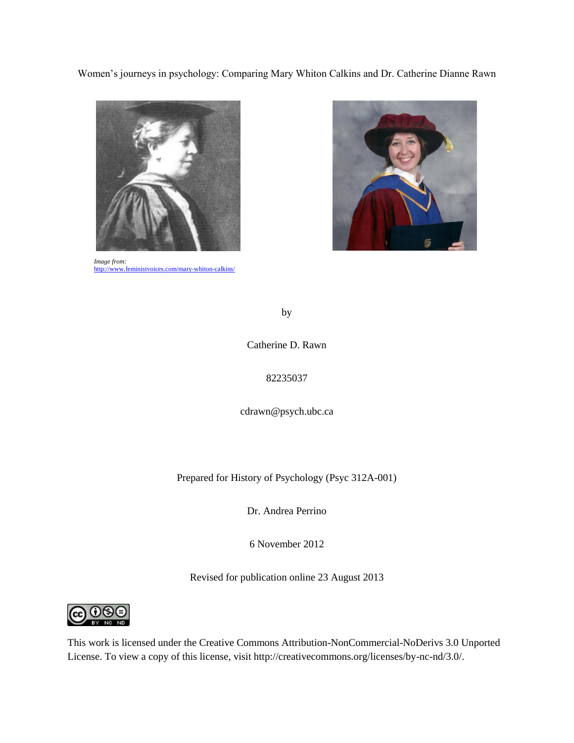Women's journeys in psychology: Comparing Mary Whiton Calkins and Dr. Catherine Dianne Rawn



*Image from:*  <http://www.feministvoices.com/mary-whiton-calkins/>



by

Catherine D. Rawn

# 82235037

cdrawn@psych.ubc.ca

Prepared for History of Psychology (Psyc 312A-001)

Dr. Andrea Perrino

6 November 2012

Revised for publication online 23 August 2013



This work is licensed under the Creative Commons Attribution-NonCommercial-NoDerivs 3.0 Unported License. To view a copy of this license, visit http://creativecommons.org/licenses/by-nc-nd/3.0/.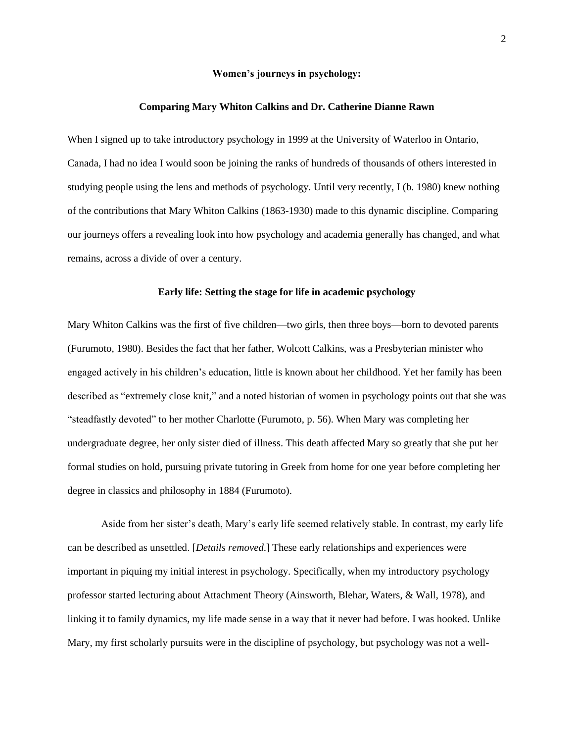# **Women's journeys in psychology:**

### **Comparing Mary Whiton Calkins and Dr. Catherine Dianne Rawn**

When I signed up to take introductory psychology in 1999 at the University of Waterloo in Ontario, Canada, I had no idea I would soon be joining the ranks of hundreds of thousands of others interested in studying people using the lens and methods of psychology. Until very recently, I (b. 1980) knew nothing of the contributions that Mary Whiton Calkins (1863-1930) made to this dynamic discipline. Comparing our journeys offers a revealing look into how psychology and academia generally has changed, and what remains, across a divide of over a century.

# **Early life: Setting the stage for life in academic psychology**

Mary Whiton Calkins was the first of five children—two girls, then three boys—born to devoted parents (Furumoto, 1980). Besides the fact that her father, Wolcott Calkins, was a Presbyterian minister who engaged actively in his children's education, little is known about her childhood. Yet her family has been described as "extremely close knit," and a noted historian of women in psychology points out that she was "steadfastly devoted" to her mother Charlotte (Furumoto, p. 56). When Mary was completing her undergraduate degree, her only sister died of illness. This death affected Mary so greatly that she put her formal studies on hold, pursuing private tutoring in Greek from home for one year before completing her degree in classics and philosophy in 1884 (Furumoto).

Aside from her sister's death, Mary's early life seemed relatively stable. In contrast, my early life can be described as unsettled. [*Details removed*.] These early relationships and experiences were important in piquing my initial interest in psychology. Specifically, when my introductory psychology professor started lecturing about Attachment Theory (Ainsworth, Blehar, Waters, & Wall, 1978), and linking it to family dynamics, my life made sense in a way that it never had before. I was hooked. Unlike Mary, my first scholarly pursuits were in the discipline of psychology, but psychology was not a well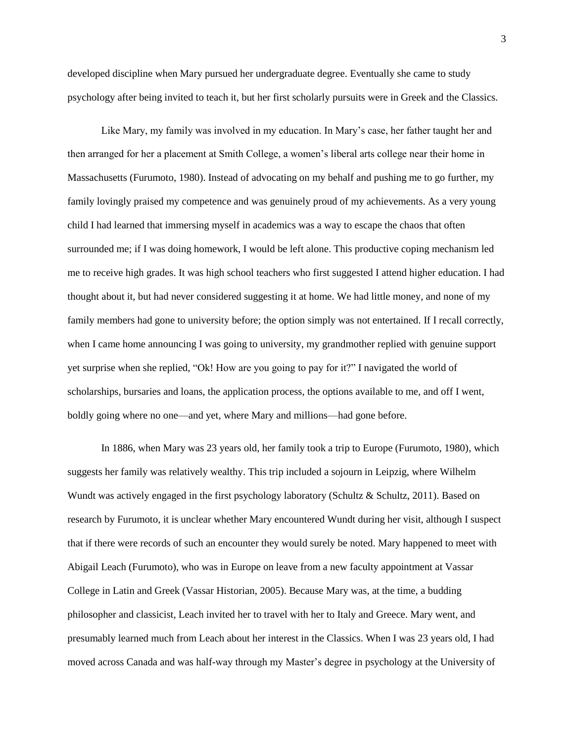developed discipline when Mary pursued her undergraduate degree. Eventually she came to study psychology after being invited to teach it, but her first scholarly pursuits were in Greek and the Classics.

Like Mary, my family was involved in my education. In Mary's case, her father taught her and then arranged for her a placement at Smith College, a women's liberal arts college near their home in Massachusetts (Furumoto, 1980). Instead of advocating on my behalf and pushing me to go further, my family lovingly praised my competence and was genuinely proud of my achievements. As a very young child I had learned that immersing myself in academics was a way to escape the chaos that often surrounded me; if I was doing homework, I would be left alone. This productive coping mechanism led me to receive high grades. It was high school teachers who first suggested I attend higher education. I had thought about it, but had never considered suggesting it at home. We had little money, and none of my family members had gone to university before; the option simply was not entertained. If I recall correctly, when I came home announcing I was going to university, my grandmother replied with genuine support yet surprise when she replied, "Ok! How are you going to pay for it?" I navigated the world of scholarships, bursaries and loans, the application process, the options available to me, and off I went, boldly going where no one—and yet, where Mary and millions—had gone before.

In 1886, when Mary was 23 years old, her family took a trip to Europe (Furumoto, 1980), which suggests her family was relatively wealthy. This trip included a sojourn in Leipzig, where Wilhelm Wundt was actively engaged in the first psychology laboratory (Schultz & Schultz, 2011). Based on research by Furumoto, it is unclear whether Mary encountered Wundt during her visit, although I suspect that if there were records of such an encounter they would surely be noted. Mary happened to meet with Abigail Leach (Furumoto), who was in Europe on leave from a new faculty appointment at Vassar College in Latin and Greek (Vassar Historian, 2005). Because Mary was, at the time, a budding philosopher and classicist, Leach invited her to travel with her to Italy and Greece. Mary went, and presumably learned much from Leach about her interest in the Classics. When I was 23 years old, I had moved across Canada and was half-way through my Master's degree in psychology at the University of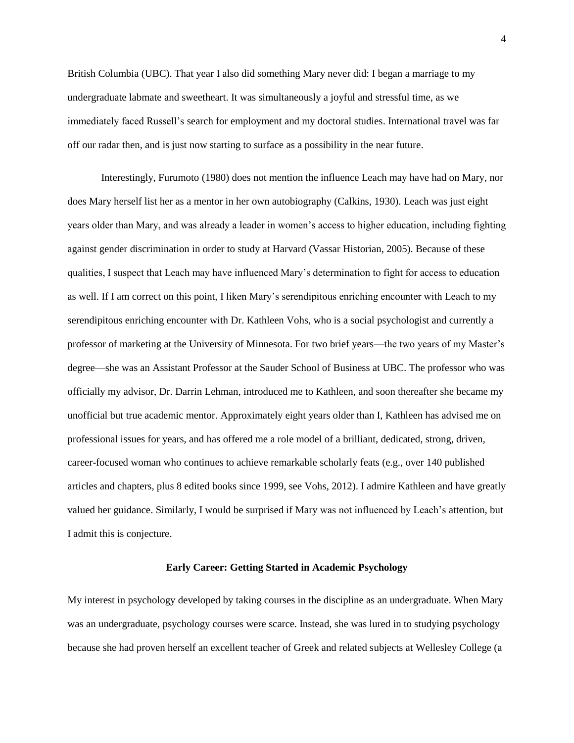British Columbia (UBC). That year I also did something Mary never did: I began a marriage to my undergraduate labmate and sweetheart. It was simultaneously a joyful and stressful time, as we immediately faced Russell's search for employment and my doctoral studies. International travel was far off our radar then, and is just now starting to surface as a possibility in the near future.

Interestingly, Furumoto (1980) does not mention the influence Leach may have had on Mary, nor does Mary herself list her as a mentor in her own autobiography (Calkins, 1930). Leach was just eight years older than Mary, and was already a leader in women's access to higher education, including fighting against gender discrimination in order to study at Harvard (Vassar Historian, 2005). Because of these qualities, I suspect that Leach may have influenced Mary's determination to fight for access to education as well. If I am correct on this point, I liken Mary's serendipitous enriching encounter with Leach to my serendipitous enriching encounter with Dr. Kathleen Vohs, who is a social psychologist and currently a professor of marketing at the University of Minnesota. For two brief years—the two years of my Master's degree—she was an Assistant Professor at the Sauder School of Business at UBC. The professor who was officially my advisor, Dr. Darrin Lehman, introduced me to Kathleen, and soon thereafter she became my unofficial but true academic mentor. Approximately eight years older than I, Kathleen has advised me on professional issues for years, and has offered me a role model of a brilliant, dedicated, strong, driven, career-focused woman who continues to achieve remarkable scholarly feats (e.g., over 140 published articles and chapters, plus 8 edited books since 1999, see Vohs, 2012). I admire Kathleen and have greatly valued her guidance. Similarly, I would be surprised if Mary was not influenced by Leach's attention, but I admit this is conjecture.

# **Early Career: Getting Started in Academic Psychology**

My interest in psychology developed by taking courses in the discipline as an undergraduate. When Mary was an undergraduate, psychology courses were scarce. Instead, she was lured in to studying psychology because she had proven herself an excellent teacher of Greek and related subjects at Wellesley College (a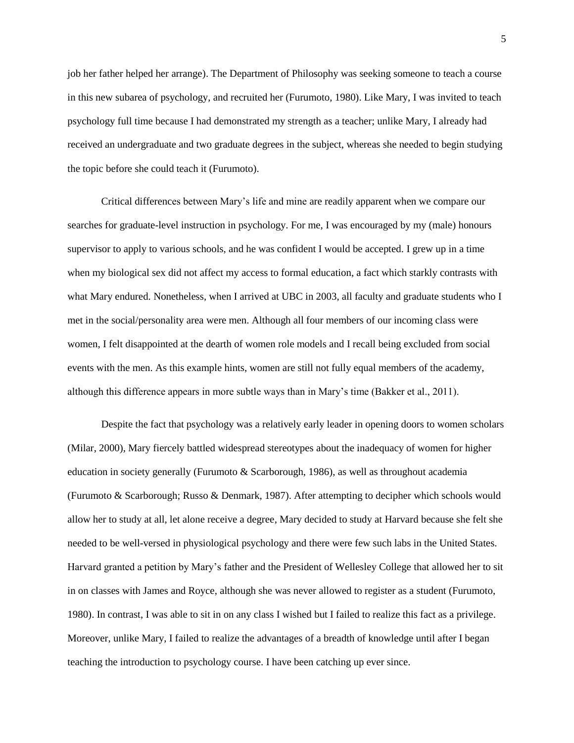job her father helped her arrange). The Department of Philosophy was seeking someone to teach a course in this new subarea of psychology, and recruited her (Furumoto, 1980). Like Mary, I was invited to teach psychology full time because I had demonstrated my strength as a teacher; unlike Mary, I already had received an undergraduate and two graduate degrees in the subject, whereas she needed to begin studying the topic before she could teach it (Furumoto).

Critical differences between Mary's life and mine are readily apparent when we compare our searches for graduate-level instruction in psychology. For me, I was encouraged by my (male) honours supervisor to apply to various schools, and he was confident I would be accepted. I grew up in a time when my biological sex did not affect my access to formal education, a fact which starkly contrasts with what Mary endured. Nonetheless, when I arrived at UBC in 2003, all faculty and graduate students who I met in the social/personality area were men. Although all four members of our incoming class were women, I felt disappointed at the dearth of women role models and I recall being excluded from social events with the men. As this example hints, women are still not fully equal members of the academy, although this difference appears in more subtle ways than in Mary's time (Bakker et al., 2011).

Despite the fact that psychology was a relatively early leader in opening doors to women scholars (Milar, 2000), Mary fiercely battled widespread stereotypes about the inadequacy of women for higher education in society generally (Furumoto & Scarborough, 1986), as well as throughout academia (Furumoto & Scarborough; Russo & Denmark, 1987). After attempting to decipher which schools would allow her to study at all, let alone receive a degree, Mary decided to study at Harvard because she felt she needed to be well-versed in physiological psychology and there were few such labs in the United States. Harvard granted a petition by Mary's father and the President of Wellesley College that allowed her to sit in on classes with James and Royce, although she was never allowed to register as a student (Furumoto, 1980). In contrast, I was able to sit in on any class I wished but I failed to realize this fact as a privilege. Moreover, unlike Mary, I failed to realize the advantages of a breadth of knowledge until after I began teaching the introduction to psychology course. I have been catching up ever since.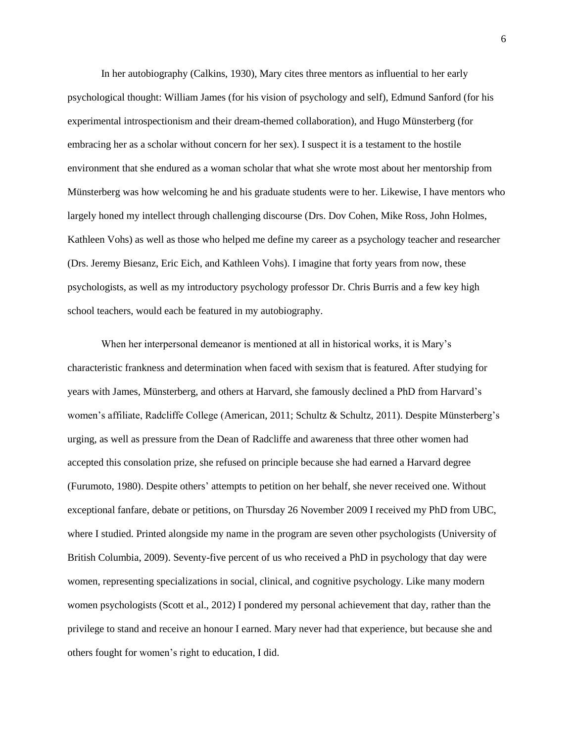In her autobiography (Calkins, 1930), Mary cites three mentors as influential to her early psychological thought: William James (for his vision of psychology and self), Edmund Sanford (for his experimental introspectionism and their dream-themed collaboration), and Hugo Münsterberg (for embracing her as a scholar without concern for her sex). I suspect it is a testament to the hostile environment that she endured as a woman scholar that what she wrote most about her mentorship from Münsterberg was how welcoming he and his graduate students were to her. Likewise, I have mentors who largely honed my intellect through challenging discourse (Drs. Dov Cohen, Mike Ross, John Holmes, Kathleen Vohs) as well as those who helped me define my career as a psychology teacher and researcher (Drs. Jeremy Biesanz, Eric Eich, and Kathleen Vohs). I imagine that forty years from now, these psychologists, as well as my introductory psychology professor Dr. Chris Burris and a few key high school teachers, would each be featured in my autobiography.

When her interpersonal demeanor is mentioned at all in historical works, it is Mary's characteristic frankness and determination when faced with sexism that is featured. After studying for years with James, Münsterberg, and others at Harvard, she famously declined a PhD from Harvard's women's affiliate, Radcliffe College (American, 2011; Schultz & Schultz, 2011). Despite Münsterberg's urging, as well as pressure from the Dean of Radcliffe and awareness that three other women had accepted this consolation prize, she refused on principle because she had earned a Harvard degree (Furumoto, 1980). Despite others' attempts to petition on her behalf, she never received one. Without exceptional fanfare, debate or petitions, on Thursday 26 November 2009 I received my PhD from UBC, where I studied. Printed alongside my name in the program are seven other psychologists (University of British Columbia, 2009). Seventy-five percent of us who received a PhD in psychology that day were women, representing specializations in social, clinical, and cognitive psychology. Like many modern women psychologists (Scott et al., 2012) I pondered my personal achievement that day, rather than the privilege to stand and receive an honour I earned. Mary never had that experience, but because she and others fought for women's right to education, I did.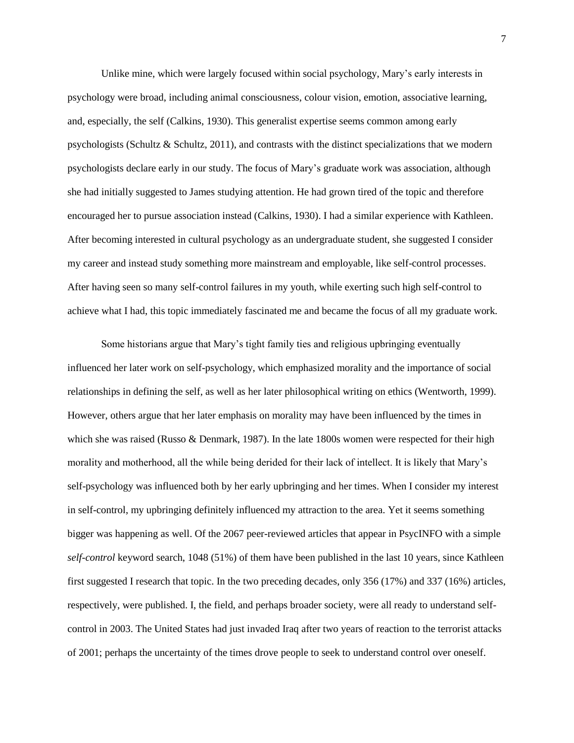Unlike mine, which were largely focused within social psychology, Mary's early interests in psychology were broad, including animal consciousness, colour vision, emotion, associative learning, and, especially, the self (Calkins, 1930). This generalist expertise seems common among early psychologists (Schultz & Schultz, 2011), and contrasts with the distinct specializations that we modern psychologists declare early in our study. The focus of Mary's graduate work was association, although she had initially suggested to James studying attention. He had grown tired of the topic and therefore encouraged her to pursue association instead (Calkins, 1930). I had a similar experience with Kathleen. After becoming interested in cultural psychology as an undergraduate student, she suggested I consider my career and instead study something more mainstream and employable, like self-control processes. After having seen so many self-control failures in my youth, while exerting such high self-control to achieve what I had, this topic immediately fascinated me and became the focus of all my graduate work.

Some historians argue that Mary's tight family ties and religious upbringing eventually influenced her later work on self-psychology, which emphasized morality and the importance of social relationships in defining the self, as well as her later philosophical writing on ethics (Wentworth, 1999). However, others argue that her later emphasis on morality may have been influenced by the times in which she was raised (Russo & Denmark, 1987). In the late 1800s women were respected for their high morality and motherhood, all the while being derided for their lack of intellect. It is likely that Mary's self-psychology was influenced both by her early upbringing and her times. When I consider my interest in self-control, my upbringing definitely influenced my attraction to the area. Yet it seems something bigger was happening as well. Of the 2067 peer-reviewed articles that appear in PsycINFO with a simple *self-control* keyword search, 1048 (51%) of them have been published in the last 10 years, since Kathleen first suggested I research that topic. In the two preceding decades, only 356 (17%) and 337 (16%) articles, respectively, were published. I, the field, and perhaps broader society, were all ready to understand selfcontrol in 2003. The United States had just invaded Iraq after two years of reaction to the terrorist attacks of 2001; perhaps the uncertainty of the times drove people to seek to understand control over oneself.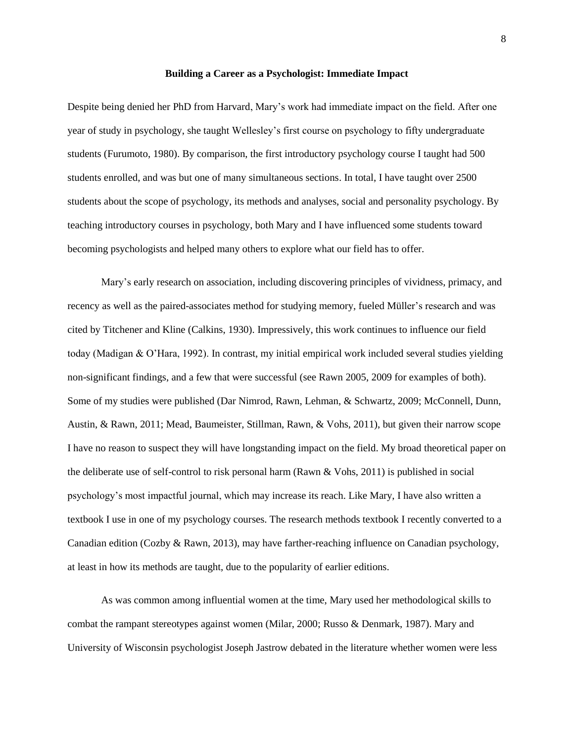### **Building a Career as a Psychologist: Immediate Impact**

Despite being denied her PhD from Harvard, Mary's work had immediate impact on the field. After one year of study in psychology, she taught Wellesley's first course on psychology to fifty undergraduate students (Furumoto, 1980). By comparison, the first introductory psychology course I taught had 500 students enrolled, and was but one of many simultaneous sections. In total, I have taught over 2500 students about the scope of psychology, its methods and analyses, social and personality psychology. By teaching introductory courses in psychology, both Mary and I have influenced some students toward becoming psychologists and helped many others to explore what our field has to offer.

Mary's early research on association, including discovering principles of vividness, primacy, and recency as well as the paired-associates method for studying memory, fueled Müller's research and was cited by Titchener and Kline (Calkins, 1930). Impressively, this work continues to influence our field today (Madigan & O'Hara, 1992). In contrast, my initial empirical work included several studies yielding non-significant findings, and a few that were successful (see Rawn 2005, 2009 for examples of both). Some of my studies were published (Dar Nimrod, Rawn, Lehman, & Schwartz, 2009; McConnell, Dunn, Austin, & Rawn, 2011; Mead, Baumeister, Stillman, Rawn, & Vohs, 2011), but given their narrow scope I have no reason to suspect they will have longstanding impact on the field. My broad theoretical paper on the deliberate use of self-control to risk personal harm (Rawn & Vohs, 2011) is published in social psychology's most impactful journal, which may increase its reach. Like Mary, I have also written a textbook I use in one of my psychology courses. The research methods textbook I recently converted to a Canadian edition (Cozby & Rawn, 2013), may have farther-reaching influence on Canadian psychology, at least in how its methods are taught, due to the popularity of earlier editions.

As was common among influential women at the time, Mary used her methodological skills to combat the rampant stereotypes against women (Milar, 2000; Russo & Denmark, 1987). Mary and University of Wisconsin psychologist Joseph Jastrow debated in the literature whether women were less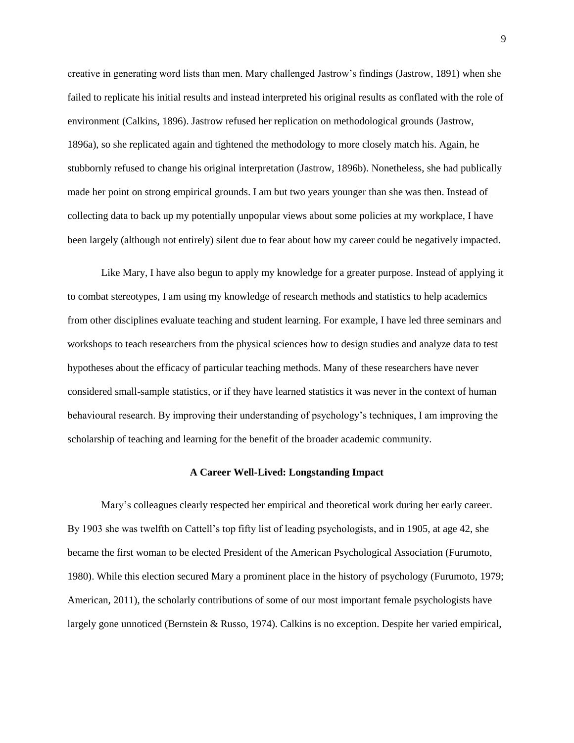creative in generating word lists than men. Mary challenged Jastrow's findings (Jastrow, 1891) when she failed to replicate his initial results and instead interpreted his original results as conflated with the role of environment (Calkins, 1896). Jastrow refused her replication on methodological grounds (Jastrow, 1896a), so she replicated again and tightened the methodology to more closely match his. Again, he stubbornly refused to change his original interpretation (Jastrow, 1896b). Nonetheless, she had publically made her point on strong empirical grounds. I am but two years younger than she was then. Instead of collecting data to back up my potentially unpopular views about some policies at my workplace, I have been largely (although not entirely) silent due to fear about how my career could be negatively impacted.

Like Mary, I have also begun to apply my knowledge for a greater purpose. Instead of applying it to combat stereotypes, I am using my knowledge of research methods and statistics to help academics from other disciplines evaluate teaching and student learning. For example, I have led three seminars and workshops to teach researchers from the physical sciences how to design studies and analyze data to test hypotheses about the efficacy of particular teaching methods. Many of these researchers have never considered small-sample statistics, or if they have learned statistics it was never in the context of human behavioural research. By improving their understanding of psychology's techniques, I am improving the scholarship of teaching and learning for the benefit of the broader academic community.

# **A Career Well-Lived: Longstanding Impact**

Mary's colleagues clearly respected her empirical and theoretical work during her early career. By 1903 she was twelfth on Cattell's top fifty list of leading psychologists, and in 1905, at age 42, she became the first woman to be elected President of the American Psychological Association (Furumoto, 1980). While this election secured Mary a prominent place in the history of psychology (Furumoto, 1979; American, 2011), the scholarly contributions of some of our most important female psychologists have largely gone unnoticed (Bernstein & Russo, 1974). Calkins is no exception. Despite her varied empirical,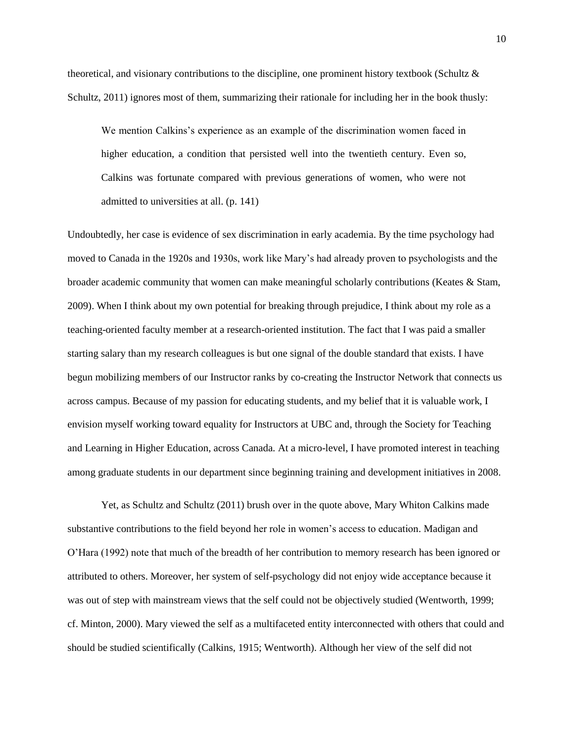theoretical, and visionary contributions to the discipline, one prominent history textbook (Schultz & Schultz, 2011) ignores most of them, summarizing their rationale for including her in the book thusly:

We mention Calkins's experience as an example of the discrimination women faced in higher education, a condition that persisted well into the twentieth century. Even so, Calkins was fortunate compared with previous generations of women, who were not admitted to universities at all. (p. 141)

Undoubtedly, her case is evidence of sex discrimination in early academia. By the time psychology had moved to Canada in the 1920s and 1930s, work like Mary's had already proven to psychologists and the broader academic community that women can make meaningful scholarly contributions (Keates & Stam, 2009). When I think about my own potential for breaking through prejudice, I think about my role as a teaching-oriented faculty member at a research-oriented institution. The fact that I was paid a smaller starting salary than my research colleagues is but one signal of the double standard that exists. I have begun mobilizing members of our Instructor ranks by co-creating the Instructor Network that connects us across campus. Because of my passion for educating students, and my belief that it is valuable work, I envision myself working toward equality for Instructors at UBC and, through the Society for Teaching and Learning in Higher Education, across Canada. At a micro-level, I have promoted interest in teaching among graduate students in our department since beginning training and development initiatives in 2008.

Yet, as Schultz and Schultz (2011) brush over in the quote above, Mary Whiton Calkins made substantive contributions to the field beyond her role in women's access to education. Madigan and O'Hara (1992) note that much of the breadth of her contribution to memory research has been ignored or attributed to others. Moreover, her system of self-psychology did not enjoy wide acceptance because it was out of step with mainstream views that the self could not be objectively studied (Wentworth, 1999; cf. Minton, 2000). Mary viewed the self as a multifaceted entity interconnected with others that could and should be studied scientifically (Calkins, 1915; Wentworth). Although her view of the self did not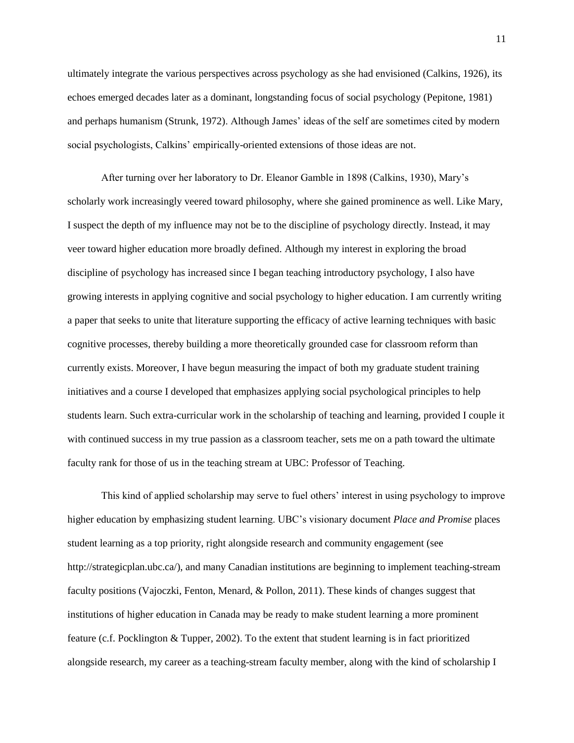ultimately integrate the various perspectives across psychology as she had envisioned (Calkins, 1926), its echoes emerged decades later as a dominant, longstanding focus of social psychology (Pepitone, 1981) and perhaps humanism (Strunk, 1972). Although James' ideas of the self are sometimes cited by modern social psychologists, Calkins' empirically-oriented extensions of those ideas are not.

After turning over her laboratory to Dr. Eleanor Gamble in 1898 (Calkins, 1930), Mary's scholarly work increasingly veered toward philosophy, where she gained prominence as well. Like Mary, I suspect the depth of my influence may not be to the discipline of psychology directly. Instead, it may veer toward higher education more broadly defined. Although my interest in exploring the broad discipline of psychology has increased since I began teaching introductory psychology, I also have growing interests in applying cognitive and social psychology to higher education. I am currently writing a paper that seeks to unite that literature supporting the efficacy of active learning techniques with basic cognitive processes, thereby building a more theoretically grounded case for classroom reform than currently exists. Moreover, I have begun measuring the impact of both my graduate student training initiatives and a course I developed that emphasizes applying social psychological principles to help students learn. Such extra-curricular work in the scholarship of teaching and learning, provided I couple it with continued success in my true passion as a classroom teacher, sets me on a path toward the ultimate faculty rank for those of us in the teaching stream at UBC: Professor of Teaching.

This kind of applied scholarship may serve to fuel others' interest in using psychology to improve higher education by emphasizing student learning. UBC's visionary document *Place and Promise* places student learning as a top priority, right alongside research and community engagement (see http://strategicplan.ubc.ca/), and many Canadian institutions are beginning to implement teaching-stream faculty positions (Vajoczki, Fenton, Menard, & Pollon, 2011). These kinds of changes suggest that institutions of higher education in Canada may be ready to make student learning a more prominent feature (c.f. Pocklington & Tupper, 2002). To the extent that student learning is in fact prioritized alongside research, my career as a teaching-stream faculty member, along with the kind of scholarship I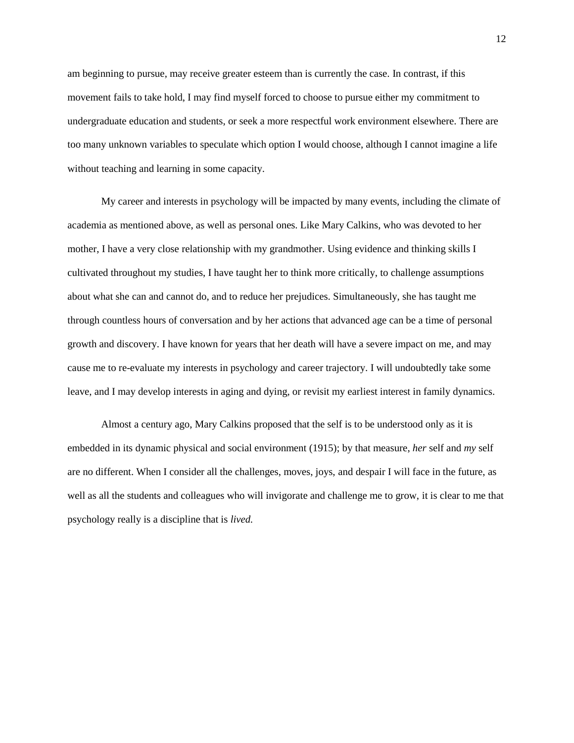am beginning to pursue, may receive greater esteem than is currently the case. In contrast, if this movement fails to take hold, I may find myself forced to choose to pursue either my commitment to undergraduate education and students, or seek a more respectful work environment elsewhere. There are too many unknown variables to speculate which option I would choose, although I cannot imagine a life without teaching and learning in some capacity.

My career and interests in psychology will be impacted by many events, including the climate of academia as mentioned above, as well as personal ones. Like Mary Calkins, who was devoted to her mother, I have a very close relationship with my grandmother. Using evidence and thinking skills I cultivated throughout my studies, I have taught her to think more critically, to challenge assumptions about what she can and cannot do, and to reduce her prejudices. Simultaneously, she has taught me through countless hours of conversation and by her actions that advanced age can be a time of personal growth and discovery. I have known for years that her death will have a severe impact on me, and may cause me to re-evaluate my interests in psychology and career trajectory. I will undoubtedly take some leave, and I may develop interests in aging and dying, or revisit my earliest interest in family dynamics.

Almost a century ago, Mary Calkins proposed that the self is to be understood only as it is embedded in its dynamic physical and social environment (1915); by that measure, *her* self and *my* self are no different. When I consider all the challenges, moves, joys, and despair I will face in the future, as well as all the students and colleagues who will invigorate and challenge me to grow, it is clear to me that psychology really is a discipline that is *lived.*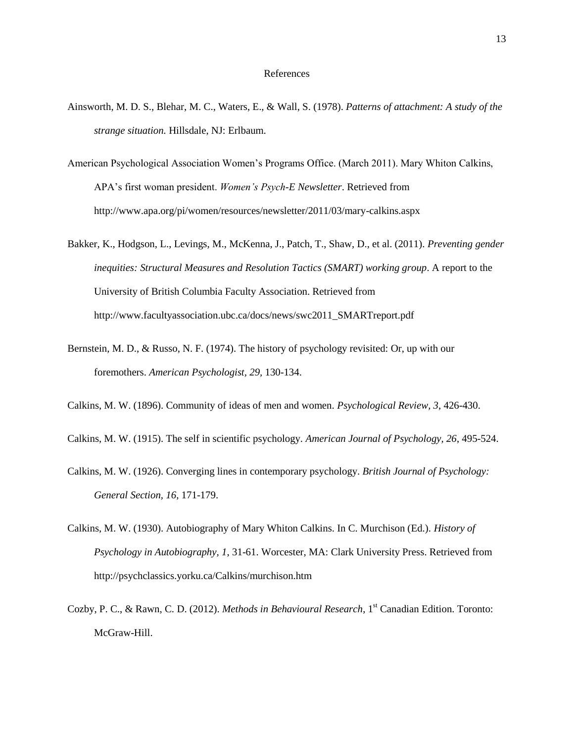### References

- Ainsworth, M. D. S., Blehar, M. C., Waters, E., & Wall, S. (1978). *Patterns of attachment: A study of the strange situation.* Hillsdale, NJ: Erlbaum.
- American Psychological Association Women's Programs Office. (March 2011). Mary Whiton Calkins, APA's first woman president. *Women's Psych-E Newsletter*. Retrieved from http://www.apa.org/pi/women/resources/newsletter/2011/03/mary-calkins.aspx
- Bakker, K., Hodgson, L., Levings, M., McKenna, J., Patch, T., Shaw, D., et al. (2011). *Preventing gender inequities: Structural Measures and Resolution Tactics (SMART) working group*. A report to the University of British Columbia Faculty Association. Retrieved from http://www.facultyassociation.ubc.ca/docs/news/swc2011\_SMARTreport.pdf
- Bernstein, M. D., & Russo, N. F. (1974). The history of psychology revisited: Or, up with our foremothers. *American Psychologist, 29,* 130-134.
- Calkins, M. W. (1896). Community of ideas of men and women. *Psychological Review, 3*, 426-430.
- Calkins, M. W. (1915). The self in scientific psychology. *American Journal of Psychology, 26*, 495-524.
- Calkins, M. W. (1926). Converging lines in contemporary psychology. *British Journal of Psychology: General Section, 16*, 171-179.
- Calkins, M. W. (1930). Autobiography of Mary Whiton Calkins. In C. Murchison (Ed.). *History of Psychology in Autobiography, 1*, 31-61. Worcester, MA: Clark University Press. Retrieved from http://psychclassics.yorku.ca/Calkins/murchison.htm
- Cozby, P. C., & Rawn, C. D. (2012). *Methods in Behavioural Research*, 1<sup>st</sup> Canadian Edition. Toronto: McGraw-Hill.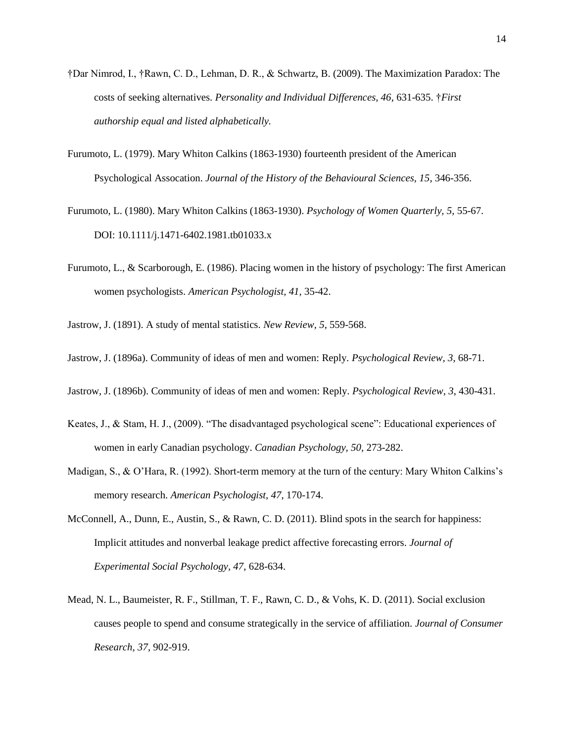- †Dar Nimrod, I., †Rawn, C. D., Lehman, D. R., & Schwartz, B. (2009). The Maximization Paradox: The costs of seeking alternatives. *Personality and Individual Differences, 46*, 631-635. †*First authorship equal and listed alphabetically.*
- Furumoto, L. (1979). Mary Whiton Calkins (1863-1930) fourteenth president of the American Psychological Assocation. *Journal of the History of the Behavioural Sciences, 15*, 346-356.
- Furumoto, L. (1980). Mary Whiton Calkins (1863-1930). *Psychology of Women Quarterly, 5*, 55-67. DOI: 10.1111/j.1471-6402.1981.tb01033.x
- Furumoto, L., & Scarborough, E. (1986). Placing women in the history of psychology: The first American women psychologists. *American Psychologist, 41,* 35-42.

Jastrow, J. (1891). A study of mental statistics. *New Review, 5*, 559-568.

- Jastrow, J. (1896a). Community of ideas of men and women: Reply. *Psychological Review, 3*, 68-71.
- Jastrow, J. (1896b). Community of ideas of men and women: Reply. *Psychological Review, 3*, 430-431.
- Keates, J., & Stam, H. J., (2009). "The disadvantaged psychological scene": Educational experiences of women in early Canadian psychology. *Canadian Psychology, 50,* 273-282.
- Madigan, S., & O'Hara, R. (1992). Short-term memory at the turn of the century: Mary Whiton Calkins's memory research. *American Psychologist, 47*, 170-174.
- McConnell, A., Dunn, E., Austin, S., & Rawn, C. D. (2011). Blind spots in the search for happiness: Implicit attitudes and nonverbal leakage predict affective forecasting errors. *Journal of Experimental Social Psychology, 47*, 628-634.
- Mead, N. L., Baumeister, R. F., Stillman, T. F., Rawn, C. D., & Vohs, K. D. (2011). Social exclusion causes people to spend and consume strategically in the service of affiliation. *Journal of Consumer Research, 37,* 902-919.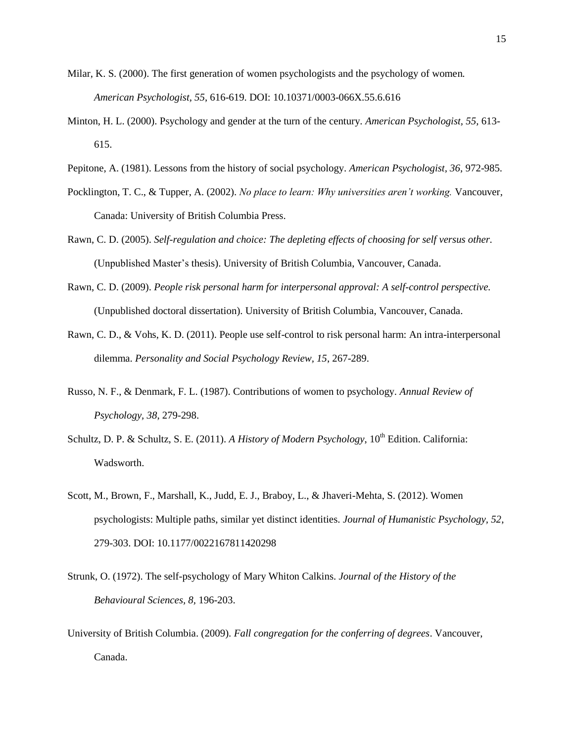- Milar, K. S. (2000). The first generation of women psychologists and the psychology of women*. American Psychologist, 55*, 616-619. DOI: 10.10371/0003-066X.55.6.616
- Minton, H. L. (2000). Psychology and gender at the turn of the century. *American Psychologist, 55,* 613- 615.
- Pepitone, A. (1981). Lessons from the history of social psychology. *American Psychologist, 36*, 972-985.
- Pocklington, T. C., & Tupper, A. (2002). *No place to learn: Why universities aren't working.* Vancouver, Canada: University of British Columbia Press.
- Rawn, C. D. (2005). *Self-regulation and choice: The depleting effects of choosing for self versus other.* (Unpublished Master's thesis). University of British Columbia, Vancouver, Canada.
- Rawn, C. D. (2009). *People risk personal harm for interpersonal approval: A self-control perspective.* (Unpublished doctoral dissertation). University of British Columbia, Vancouver, Canada.
- Rawn, C. D., & Vohs, K. D. (2011). People use self-control to risk personal harm: An intra-interpersonal dilemma. *Personality and Social Psychology Review, 15*, 267-289.
- Russo, N. F., & Denmark, F. L. (1987). Contributions of women to psychology. *Annual Review of Psychology, 38*, 279-298.
- Schultz, D. P. & Schultz, S. E. (2011). *A History of Modern Psychology*, 10<sup>th</sup> Edition. California: Wadsworth.
- Scott, M., Brown, F., Marshall, K., Judd, E. J., Braboy, L., & Jhaveri-Mehta, S. (2012). Women psychologists: Multiple paths, similar yet distinct identities. *Journal of Humanistic Psychology, 52*, 279-303. DOI: 10.1177/0022167811420298
- Strunk, O. (1972). The self-psychology of Mary Whiton Calkins. *Journal of the History of the Behavioural Sciences, 8,* 196-203.
- University of British Columbia. (2009). *Fall congregation for the conferring of degrees*. Vancouver, Canada.